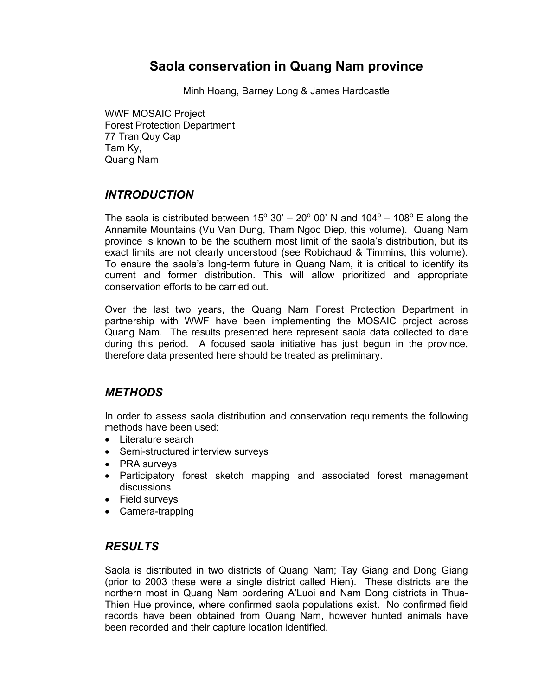# **Saola conservation in Quang Nam province**

Minh Hoang, Barney Long & James Hardcastle

WWF MOSAIC Project Forest Protection Department 77 Tran Quy Cap Tam Ky, Quang Nam

## *INTRODUCTION*

The saola is distributed between  $15^{\circ}$  30' – 20 $^{\circ}$  00' N and 104 $^{\circ}$  – 108 $^{\circ}$  E along the Annamite Mountains (Vu Van Dung, Tham Ngoc Diep, this volume). Quang Nam province is known to be the southern most limit of the saola's distribution, but its exact limits are not clearly understood (see Robichaud & Timmins, this volume). To ensure the saola's long-term future in Quang Nam, it is critical to identify its current and former distribution. This will allow prioritized and appropriate conservation efforts to be carried out.

Over the last two years, the Quang Nam Forest Protection Department in partnership with WWF have been implementing the MOSAIC project across Quang Nam. The results presented here represent saola data collected to date during this period. A focused saola initiative has just begun in the province, therefore data presented here should be treated as preliminary.

## *METHODS*

In order to assess saola distribution and conservation requirements the following methods have been used:

- Literature search
- Semi-structured interview surveys
- PRA surveys
- Participatory forest sketch mapping and associated forest management discussions
- Field surveys
- Camera-trapping

## *RESULTS*

Saola is distributed in two districts of Quang Nam; Tay Giang and Dong Giang (prior to 2003 these were a single district called Hien). These districts are the northern most in Quang Nam bordering A'Luoi and Nam Dong districts in Thua-Thien Hue province, where confirmed saola populations exist. No confirmed field records have been obtained from Quang Nam, however hunted animals have been recorded and their capture location identified.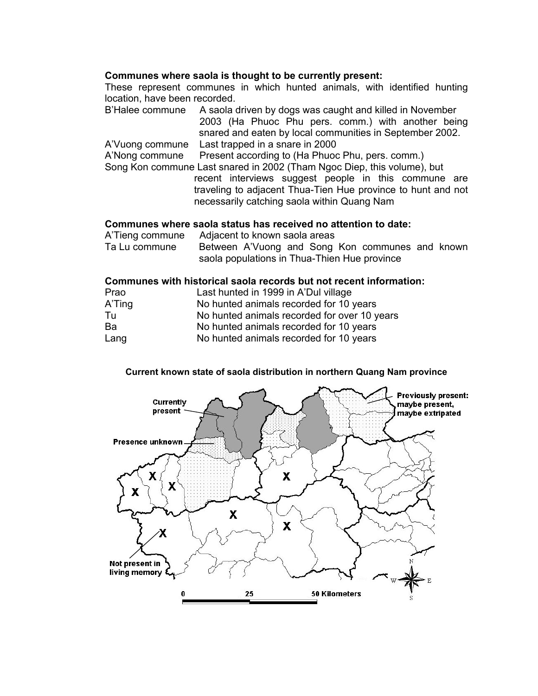#### **Communes where saola is thought to be currently present:**

These represent communes in which hunted animals, with identified hunting location, have been recorded.

B'Halee commune A saola driven by dogs was caught and killed in November 2003 (Ha Phuoc Phu pers. comm.) with another being snared and eaten by local communities in September 2002. A'Vuong commune Last trapped in a snare in 2000

A'Nong commune Present according to (Ha Phuoc Phu, pers. comm.)

Song Kon commune Last snared in 2002 (Tham Ngoc Diep, this volume), but recent interviews suggest people in this commune are traveling to adjacent Thua-Tien Hue province to hunt and not necessarily catching saola within Quang Nam

#### **Communes where saola status has received no attention to date:**

| A'Tieng commune | Adjacent to known saola areas                   |
|-----------------|-------------------------------------------------|
| Ta Lu commune   | Between A'Vuong and Song Kon communes and known |
|                 | saola populations in Thua-Thien Hue province    |

#### **Communes with historical saola records but not recent information:**

| Prao   | Last hunted in 1999 in A'Dul village         |
|--------|----------------------------------------------|
| A'Ting | No hunted animals recorded for 10 years      |
| Tu     | No hunted animals recorded for over 10 years |
| Ba     | No hunted animals recorded for 10 years      |
| Lang   | No hunted animals recorded for 10 years      |

#### **Current known state of saola distribution in northern Quang Nam province**

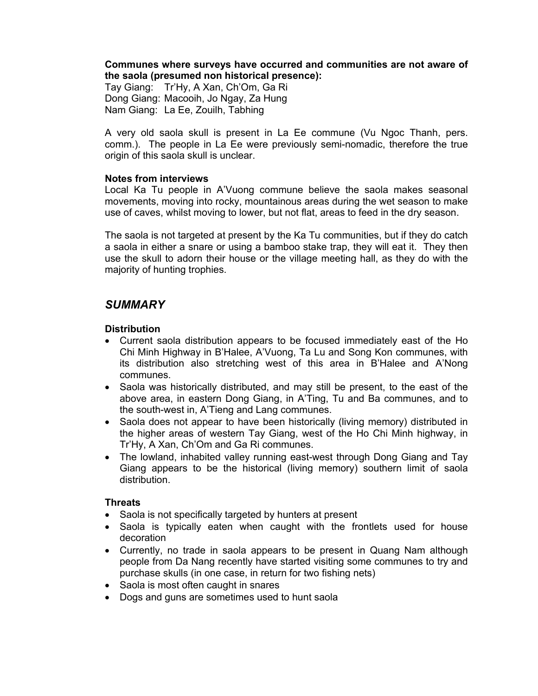#### **Communes where surveys have occurred and communities are not aware of the saola (presumed non historical presence):**

Tay Giang: Tr'Hy, A Xan, Ch'Om, Ga Ri Dong Giang: Macooih, Jo Ngay, Za Hung Nam Giang: La Ee, Zouilh, Tabhing

A very old saola skull is present in La Ee commune (Vu Ngoc Thanh, pers. comm.). The people in La Ee were previously semi-nomadic, therefore the true origin of this saola skull is unclear.

#### **Notes from interviews**

Local Ka Tu people in A'Vuong commune believe the saola makes seasonal movements, moving into rocky, mountainous areas during the wet season to make use of caves, whilst moving to lower, but not flat, areas to feed in the dry season.

The saola is not targeted at present by the Ka Tu communities, but if they do catch a saola in either a snare or using a bamboo stake trap, they will eat it. They then use the skull to adorn their house or the village meeting hall, as they do with the majority of hunting trophies.

## *SUMMARY*

#### **Distribution**

- Current saola distribution appears to be focused immediately east of the Ho Chi Minh Highway in B'Halee, A'Vuong, Ta Lu and Song Kon communes, with its distribution also stretching west of this area in B'Halee and A'Nong communes.
- Saola was historically distributed, and may still be present, to the east of the above area, in eastern Dong Giang, in A'Ting, Tu and Ba communes, and to the south-west in, A'Tieng and Lang communes.
- Saola does not appear to have been historically (living memory) distributed in the higher areas of western Tay Giang, west of the Ho Chi Minh highway, in Tr'Hy, A Xan, Ch'Om and Ga Ri communes.
- The lowland, inhabited valley running east-west through Dong Giang and Tay Giang appears to be the historical (living memory) southern limit of saola distribution.

#### **Threats**

- Saola is not specifically targeted by hunters at present
- Saola is typically eaten when caught with the frontlets used for house decoration
- Currently, no trade in saola appears to be present in Quang Nam although people from Da Nang recently have started visiting some communes to try and purchase skulls (in one case, in return for two fishing nets)
- Saola is most often caught in snares
- Dogs and guns are sometimes used to hunt saola